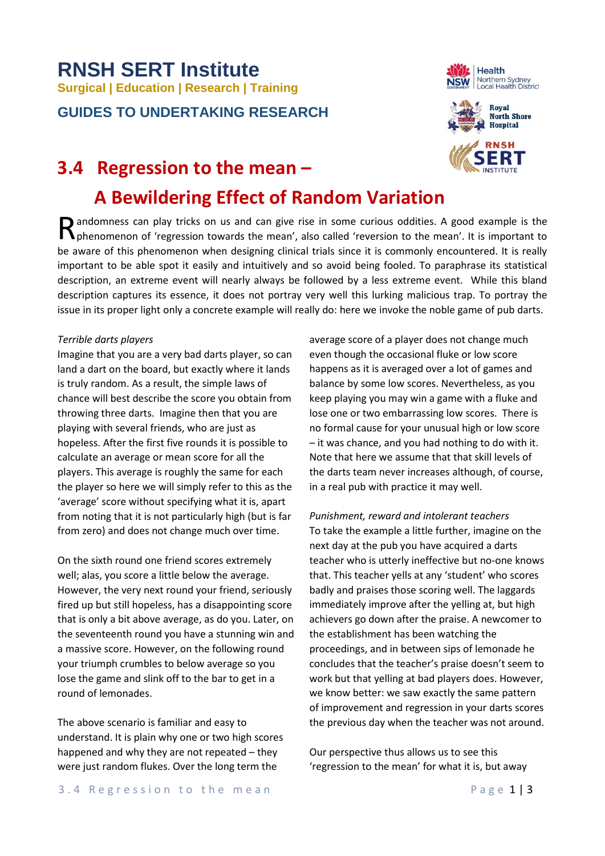# **RNSH SERT Institute Surgical | Education | Research | Training**

**GUIDES TO UNDERTAKING RESEARCH**

# **3.4 Regression to the mean –**

# **A Bewildering Effect of Random Variation**

andomness can play tricks on us and can give rise in some curious oddities. A good example is the Randomness can play tricks on us and can give rise in some curious oddities. A good example is the phenomenon of 'regression towards the mean', also called 'reversion to the mean'. It is important to be aware of this phenomenon when designing clinical trials since it is commonly encountered. It is really important to be able spot it easily and intuitively and so avoid being fooled. To paraphrase its statistical description, an extreme event will nearly always be followed by a less extreme event. While this bland description captures its essence, it does not portray very well this lurking malicious trap. To portray the issue in its proper light only a concrete example will really do: here we invoke the noble game of pub darts.

# *Terrible darts players*

Imagine that you are a very bad darts player, so can land a dart on the board, but exactly where it lands is truly random. As a result, the simple laws of chance will best describe the score you obtain from throwing three darts. Imagine then that you are playing with several friends, who are just as hopeless. After the first five rounds it is possible to calculate an average or mean score for all the players. This average is roughly the same for each the player so here we will simply refer to this as the 'average' score without specifying what it is, apart from noting that it is not particularly high (but is far from zero) and does not change much over time.

On the sixth round one friend scores extremely well; alas, you score a little below the average. However, the very next round your friend, seriously fired up but still hopeless, has a disappointing score that is only a bit above average, as do you. Later, on the seventeenth round you have a stunning win and a massive score. However, on the following round your triumph crumbles to below average so you lose the game and slink off to the bar to get in a round of lemonades.

The above scenario is familiar and easy to understand. It is plain why one or two high scores happened and why they are not repeated – they were just random flukes. Over the long term the

average score of a player does not change much even though the occasional fluke or low score happens as it is averaged over a lot of games and balance by some low scores. Nevertheless, as you keep playing you may win a game with a fluke and lose one or two embarrassing low scores. There is no formal cause for your unusual high or low score – it was chance, and you had nothing to do with it. Note that here we assume that that skill levels of the darts team never increases although, of course, in a real pub with practice it may well.

*Punishment, reward and intolerant teachers* To take the example a little further, imagine on the next day at the pub you have acquired a darts teacher who is utterly ineffective but no-one knows that. This teacher yells at any 'student' who scores badly and praises those scoring well. The laggards immediately improve after the yelling at, but high achievers go down after the praise. A newcomer to the establishment has been watching the proceedings, and in between sips of lemonade he concludes that the teacher's praise doesn't seem to work but that yelling at bad players does. However, we know better: we saw exactly the same pattern of improvement and regression in your darts scores the previous day when the teacher was not around.

Our perspective thus allows us to see this 'regression to the mean' for what it is, but away



**Royal** 

Northern Sydney<br>Local Health District

Health

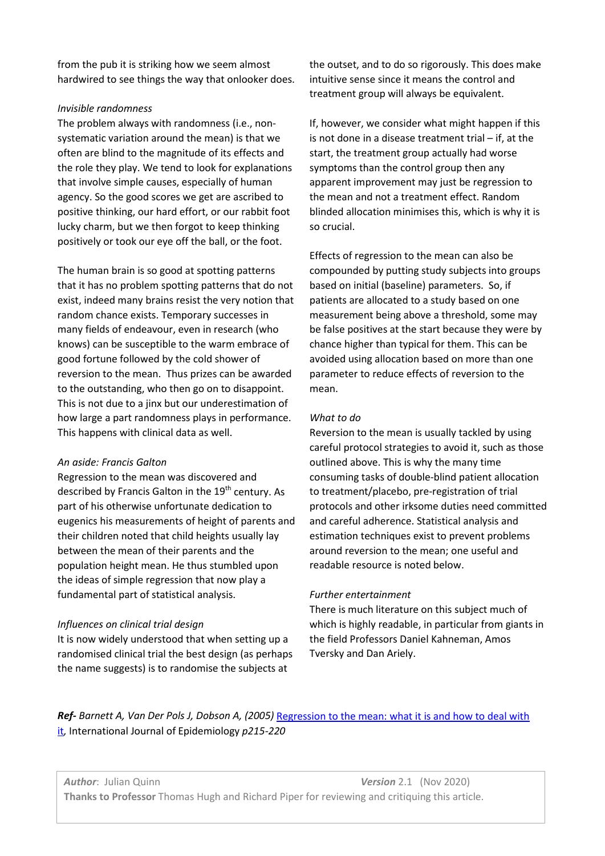from the pub it is striking how we seem almost hardwired to see things the way that onlooker does.

#### *Invisible randomness*

The problem always with randomness (i.e., nonsystematic variation around the mean) is that we often are blind to the magnitude of its effects and the role they play. We tend to look for explanations that involve simple causes, especially of human agency. So the good scores we get are ascribed to positive thinking, our hard effort, or our rabbit foot lucky charm, but we then forgot to keep thinking positively or took our eye off the ball, or the foot.

The human brain is so good at spotting patterns that it has no problem spotting patterns that do not exist, indeed many brains resist the very notion that random chance exists. Temporary successes in many fields of endeavour, even in research (who knows) can be susceptible to the warm embrace of good fortune followed by the cold shower of reversion to the mean. Thus prizes can be awarded to the outstanding, who then go on to disappoint. This is not due to a jinx but our underestimation of how large a part randomness plays in performance. This happens with clinical data as well.

#### *An aside: Francis Galton*

Regression to the mean was discovered and described by Francis Galton in the 19<sup>th</sup> century. As part of his otherwise unfortunate dedication to eugenics his measurements of height of parents and their children noted that child heights usually lay between the mean of their parents and the population height mean. He thus stumbled upon the ideas of simple regression that now play a fundamental part of statistical analysis.

# *Influences on clinical trial design*

It is now widely understood that when setting up a randomised clinical trial the best design (as perhaps the name suggests) is to randomise the subjects at

the outset, and to do so rigorously. This does make intuitive sense since it means the control and treatment group will always be equivalent.

If, however, we consider what might happen if this is not done in a disease treatment trial – if, at the start, the treatment group actually had worse symptoms than the control group then any apparent improvement may just be regression to the mean and not a treatment effect. Random blinded allocation minimises this, which is why it is so crucial.

Effects of regression to the mean can also be compounded by putting study subjects into groups based on initial (baseline) parameters. So, if patients are allocated to a study based on one measurement being above a threshold, some may be false positives at the start because they were by chance higher than typical for them. This can be avoided using allocation based on more than one parameter to reduce effects of reversion to the mean.

# *What to do*

Reversion to the mean is usually tackled by using careful protocol strategies to avoid it, such as those outlined above. This is why the many time consuming tasks of double-blind patient allocation to treatment/placebo, pre-registration of trial protocols and other irksome duties need committed and careful adherence. Statistical analysis and estimation techniques exist to prevent problems around reversion to the mean; one useful and readable resource is noted below.

# *Further entertainment*

There is much literature on this subject much of which is highly readable, in particular from giants in the field Professors Daniel Kahneman, Amos Tversky and Dan Ariely.

*Ref-* Barnett A, Van Der Pols J, Dobson A, (2005) Regression to the mean: what it is and how to deal with [it](https://eprints.qut.edu.au/45274)*,* International Journal of Epidemiology *p215-220*